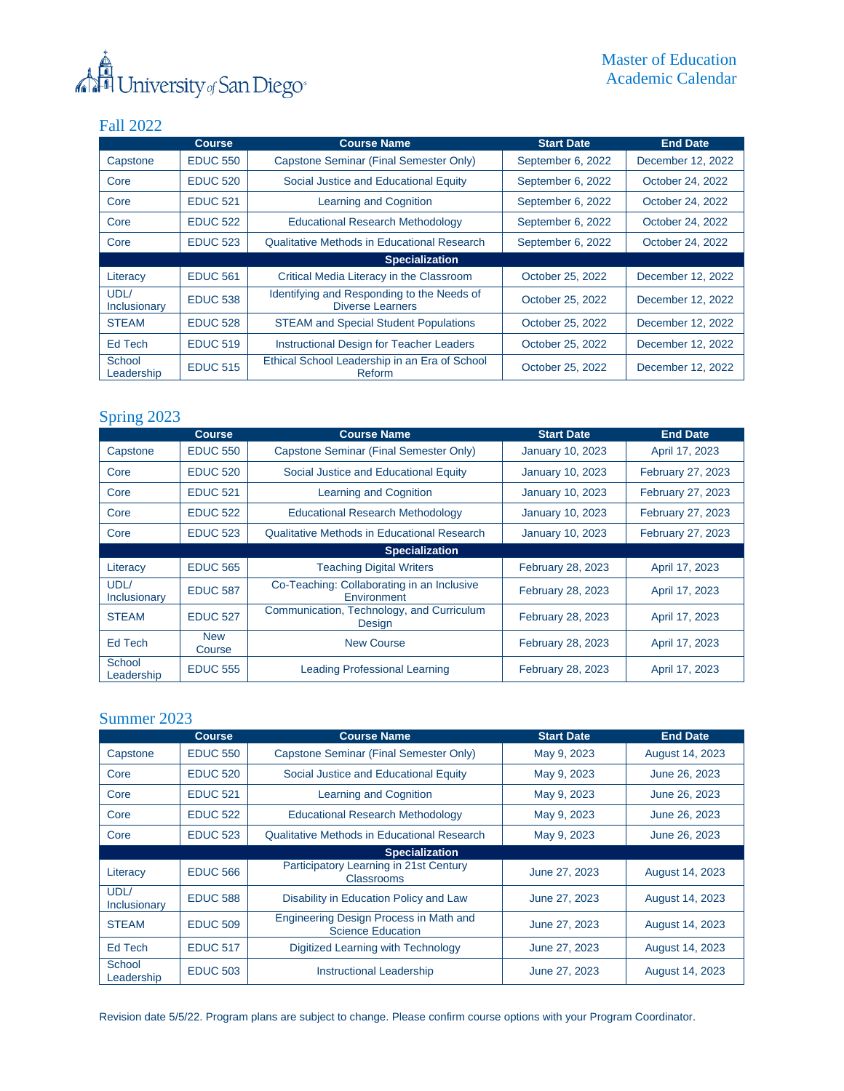

## Fall 2022

|                       | <b>Course</b>   | <b>Course Name</b>                                                    | <b>Start Date</b> | <b>End Date</b>   |  |
|-----------------------|-----------------|-----------------------------------------------------------------------|-------------------|-------------------|--|
| Capstone              | <b>EDUC 550</b> | Capstone Seminar (Final Semester Only)                                | September 6, 2022 | December 12, 2022 |  |
| Core                  | <b>EDUC 520</b> | Social Justice and Educational Equity                                 | September 6, 2022 | October 24, 2022  |  |
| Core                  | <b>EDUC 521</b> | Learning and Cognition                                                | September 6, 2022 | October 24, 2022  |  |
| Core                  | <b>EDUC 522</b> | <b>Educational Research Methodology</b>                               | September 6, 2022 | October 24, 2022  |  |
| Core                  | <b>EDUC 523</b> | Qualitative Methods in Educational Research                           | September 6, 2022 | October 24, 2022  |  |
| <b>Specialization</b> |                 |                                                                       |                   |                   |  |
| Literacy              | <b>EDUC 561</b> | Critical Media Literacy in the Classroom                              | October 25, 2022  | December 12, 2022 |  |
| UDL/<br>Inclusionary  | <b>EDUC 538</b> | Identifying and Responding to the Needs of<br><b>Diverse Learners</b> | October 25, 2022  | December 12, 2022 |  |
| <b>STEAM</b>          | <b>EDUC 528</b> | <b>STEAM and Special Student Populations</b>                          | October 25, 2022  | December 12, 2022 |  |
| Ed Tech               | <b>EDUC 519</b> | <b>Instructional Design for Teacher Leaders</b>                       | October 25, 2022  | December 12, 2022 |  |
| School<br>Leadership  | <b>EDUC 515</b> | Ethical School Leadership in an Era of School<br>Reform               | October 25, 2022  | December 12, 2022 |  |

## Spring 2023

|                      | <b>Course</b>        | <b>Course Name</b>                                        | <b>Start Date</b>        | <b>End Date</b>   |
|----------------------|----------------------|-----------------------------------------------------------|--------------------------|-------------------|
| Capstone             | <b>EDUC 550</b>      | Capstone Seminar (Final Semester Only)                    | <b>January 10, 2023</b>  | April 17, 2023    |
| Core                 | <b>EDUC 520</b>      | Social Justice and Educational Equity                     | <b>January 10, 2023</b>  | February 27, 2023 |
| Core                 | <b>EDUC 521</b>      | Learning and Cognition                                    | <b>January 10, 2023</b>  | February 27, 2023 |
| Core                 | <b>EDUC 522</b>      | <b>Educational Research Methodology</b>                   | <b>January 10, 2023</b>  | February 27, 2023 |
| Core                 | <b>EDUC 523</b>      | <b>Qualitative Methods in Educational Research</b>        | <b>January 10, 2023</b>  | February 27, 2023 |
|                      |                      | <b>Specialization</b>                                     |                          |                   |
| Literacy             | <b>EDUC 565</b>      | <b>Teaching Digital Writers</b>                           | <b>February 28, 2023</b> | April 17, 2023    |
| UDL/<br>Inclusionary | <b>EDUC 587</b>      | Co-Teaching: Collaborating in an Inclusive<br>Environment | February 28, 2023        | April 17, 2023    |
| <b>STEAM</b>         | <b>EDUC 527</b>      | Communication, Technology, and Curriculum<br>Design       | <b>February 28, 2023</b> | April 17, 2023    |
| Ed Tech              | <b>New</b><br>Course | <b>New Course</b>                                         | February 28, 2023        | April 17, 2023    |
| School<br>Leadership | <b>EDUC 555</b>      | Leading Professional Learning                             | February 28, 2023        | April 17, 2023    |

## Summer 2023

|                       | <b>Course</b>   | <b>Course Name</b>                                                 | <b>Start Date</b> | <b>End Date</b> |  |
|-----------------------|-----------------|--------------------------------------------------------------------|-------------------|-----------------|--|
| Capstone              | <b>EDUC 550</b> | Capstone Seminar (Final Semester Only)                             | May 9, 2023       | August 14, 2023 |  |
| Core                  | <b>EDUC 520</b> | Social Justice and Educational Equity                              | May 9, 2023       | June 26, 2023   |  |
| Core                  | <b>EDUC 521</b> | Learning and Cognition                                             | May 9, 2023       | June 26, 2023   |  |
| Core                  | <b>EDUC 522</b> | <b>Educational Research Methodology</b>                            | May 9, 2023       | June 26, 2023   |  |
| Core                  | <b>EDUC 523</b> | <b>Qualitative Methods in Educational Research</b>                 | May 9, 2023       | June 26, 2023   |  |
| <b>Specialization</b> |                 |                                                                    |                   |                 |  |
| Literacy              | <b>EDUC 566</b> | Participatory Learning in 21st Century<br>Classrooms               | June 27, 2023     | August 14, 2023 |  |
| UDL/<br>Inclusionary  | <b>EDUC 588</b> | Disability in Education Policy and Law                             | June 27, 2023     | August 14, 2023 |  |
| <b>STEAM</b>          | <b>EDUC 509</b> | Engineering Design Process in Math and<br><b>Science Education</b> | June 27, 2023     | August 14, 2023 |  |
| Ed Tech               | <b>EDUC 517</b> | Digitized Learning with Technology                                 | June 27, 2023     | August 14, 2023 |  |
| School<br>Leadership  | <b>EDUC 503</b> | <b>Instructional Leadership</b>                                    | June 27, 2023     | August 14, 2023 |  |

Revision date 5/5/22. Program plans are subject to change. Please confirm course options with your Program Coordinator.